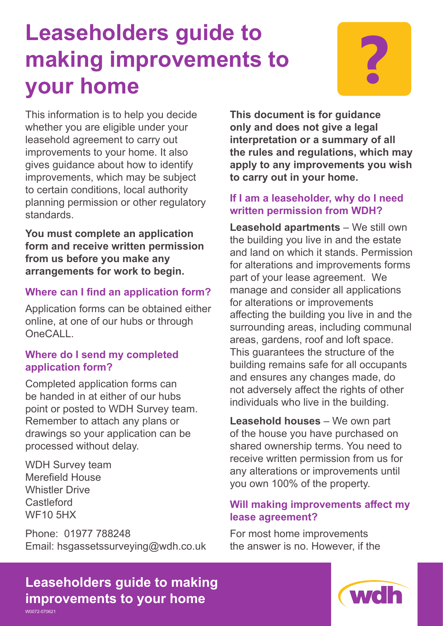# **Leaseholders guide to making improvements to Paramements for all parameters of the UP**<br>**your home ?**



This information is to help you decide whether you are eligible under your leasehold agreement to carry out improvements to your home. It also gives guidance about how to identify improvements, which may be subject to certain conditions, local authority planning permission or other regulatory standards.

**You must complete an application form and receive written permission from us before you make any arrangements for work to begin.**

# **Where can I find an application form?**

Application forms can be obtained either online, at one of our hubs or through OneCALL.

## **Where do I send my completed application form?**

Completed application forms can be handed in at either of our hubs point or posted to WDH Survey team. Remember to attach any plans or drawings so your application can be processed without delay.

WDH Survey team Merefield House Whistler Drive **Castleford** WF10 5HX

Phone: 01977 788248 Email: hsgassetssurveying@wdh.co.uk

**This document is for guidance only and does not give a legal interpretation or a summary of all the rules and regulations, which may apply to any improvements you wish to carry out in your home.**

# **If I am a leaseholder, why do I need written permission from WDH?**

**Leasehold apartments** – We still own the building you live in and the estate and land on which it stands. Permission for alterations and improvements forms part of your lease agreement. We manage and consider all applications for alterations or improvements affecting the building you live in and the surrounding areas, including communal areas, gardens, roof and loft space. This guarantees the structure of the building remains safe for all occupants and ensures any changes made, do not adversely affect the rights of other individuals who live in the building.

**Leasehold houses** – We own part of the house you have purchased on shared ownership terms. You need to receive written permission from us for any alterations or improvements until you own 100% of the property.

# **Will making improvements affect my lease agreement?**

For most home improvements the answer is no. However, if the

**Leaseholders guide to making improvements to your home**

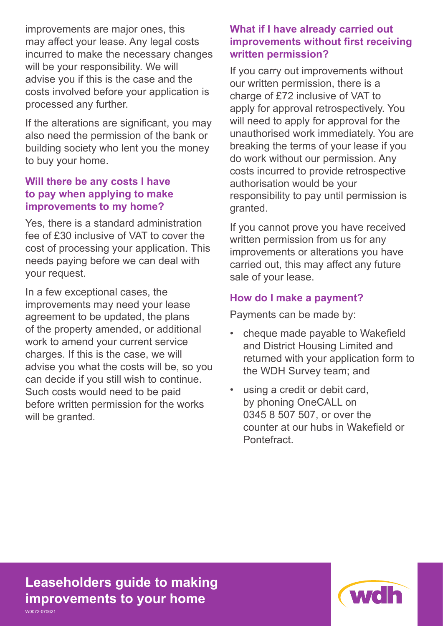improvements are major ones, this may affect your lease. Any legal costs incurred to make the necessary changes will be your responsibility. We will advise you if this is the case and the costs involved before your application is processed any further.

If the alterations are significant, you may also need the permission of the bank or building society who lent you the money to buy your home.

## **Will there be any costs I have to pay when applying to make improvements to my home?**

Yes, there is a standard administration fee of £30 inclusive of VAT to cover the cost of processing your application. This needs paying before we can deal with your request.

In a few exceptional cases, the improvements may need your lease agreement to be updated, the plans of the property amended, or additional work to amend your current service charges. If this is the case, we will advise you what the costs will be, so you can decide if you still wish to continue. Such costs would need to be paid before written permission for the works will be granted.

## **What if I have already carried out improvements without first receiving written permission?**

If you carry out improvements without our written permission, there is a charge of £72 inclusive of VAT to apply for approval retrospectively. You will need to apply for approval for the unauthorised work immediately. You are breaking the terms of your lease if you do work without our permission. Any costs incurred to provide retrospective authorisation would be your responsibility to pay until permission is granted.

If you cannot prove you have received written permission from us for any improvements or alterations you have carried out, this may affect any future sale of your lease.

## **How do I make a payment?**

Payments can be made by:

- cheque made payable to Wakefield and District Housing Limited and returned with your application form to the WDH Survey team; and
- using a credit or debit card, by phoning OneCALL on 0345 8 507 507, or over the counter at our hubs in Wakefield or **Pontefract**

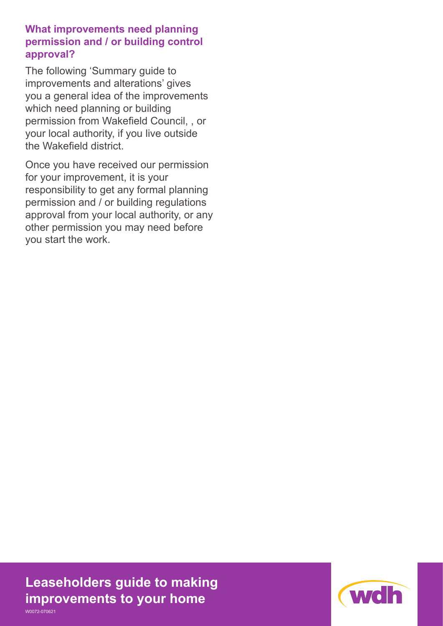**What improvements need planning permission and / or building control approval?** 

The following 'Summary guide to improvements and alterations' gives you a general idea of the improvements which need planning or building permission from Wakefield Council, , or your local authority, if you live outside the Wakefield district.

Once you have received our permission for your improvement, it is your responsibility to get any formal planning permission and / or building regulations approval from your local authority, or any other permission you may need before you start the work.

**Leaseholders guide to making improvements to your home** W0072-070621

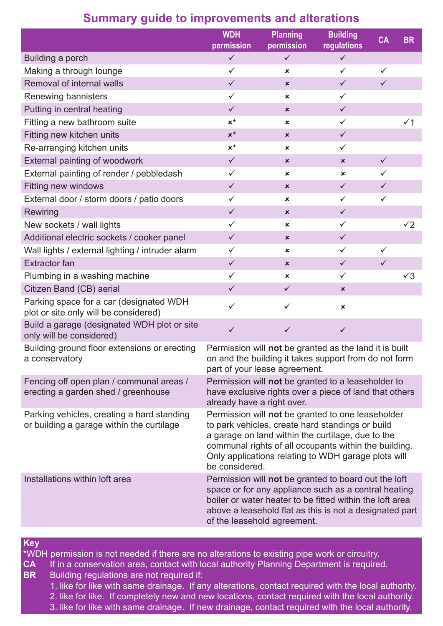|                                                                                         | <b>WDH</b><br>permission                                                                                                                                                                                                                                                                     | <b>Planning</b><br>permission | <b>Building</b><br>regulations | <b>CA</b>    | <b>BR</b>      |
|-----------------------------------------------------------------------------------------|----------------------------------------------------------------------------------------------------------------------------------------------------------------------------------------------------------------------------------------------------------------------------------------------|-------------------------------|--------------------------------|--------------|----------------|
| Building a porch                                                                        | $\checkmark$                                                                                                                                                                                                                                                                                 | $\checkmark$                  | $\checkmark$                   |              |                |
| Making a through lounge                                                                 | $\checkmark$                                                                                                                                                                                                                                                                                 | ×                             | $\checkmark$                   | $\checkmark$ |                |
| Removal of internal walls                                                               | $\checkmark$                                                                                                                                                                                                                                                                                 | ×                             | $\checkmark$                   | $\checkmark$ |                |
| Renewing bannisters                                                                     | $\checkmark$                                                                                                                                                                                                                                                                                 | ×                             | $\checkmark$                   |              |                |
| Putting in central heating                                                              | $\checkmark$                                                                                                                                                                                                                                                                                 | ×                             | $\checkmark$                   |              |                |
| Fitting a new bathroom suite                                                            | $x^*$                                                                                                                                                                                                                                                                                        | ×                             | $\checkmark$                   |              | $\checkmark$ 1 |
| Fitting new kitchen units                                                               | $x^*$                                                                                                                                                                                                                                                                                        | ×                             | $\checkmark$                   |              |                |
| Re-arranging kitchen units                                                              | $x^*$                                                                                                                                                                                                                                                                                        | ×                             | $\checkmark$                   |              |                |
| External painting of woodwork                                                           | $\checkmark$                                                                                                                                                                                                                                                                                 | ×                             | $\pmb{\times}$                 | $\checkmark$ |                |
| External painting of render / pebbledash                                                | $\checkmark$                                                                                                                                                                                                                                                                                 | ×                             | ×                              | $\checkmark$ |                |
| <b>Fitting new windows</b>                                                              | $\checkmark$                                                                                                                                                                                                                                                                                 | ×                             | $\checkmark$                   | $\checkmark$ |                |
| External door / storm doors / patio doors                                               | $\checkmark$                                                                                                                                                                                                                                                                                 | ×                             | $\checkmark$                   | $\checkmark$ |                |
| Rewiring                                                                                | $\checkmark$                                                                                                                                                                                                                                                                                 | $\pmb{\times}$                | $\checkmark$                   |              |                |
| New sockets / wall lights                                                               | $\checkmark$                                                                                                                                                                                                                                                                                 | ×                             | $\checkmark$                   |              | $\check{2}$    |
| Additional electric sockets / cooker panel                                              | $\checkmark$                                                                                                                                                                                                                                                                                 | $\pmb{\times}$                | $\checkmark$                   |              |                |
| Wall lights / external lighting / intruder alarm                                        | $\checkmark$                                                                                                                                                                                                                                                                                 | ×                             | $\checkmark$                   | $\checkmark$ |                |
| <b>Extractor fan</b>                                                                    | $\checkmark$                                                                                                                                                                                                                                                                                 | ×                             | $\checkmark$                   | $\checkmark$ |                |
| Plumbing in a washing machine                                                           | $\checkmark$                                                                                                                                                                                                                                                                                 | ×                             | $\checkmark$                   |              | $\sqrt{3}$     |
| Citizen Band (CB) aerial                                                                | $\checkmark$                                                                                                                                                                                                                                                                                 | $\checkmark$                  | $\pmb{\times}$                 |              |                |
| Parking space for a car (designated WDH<br>plot or site only will be considered)        | $\checkmark$                                                                                                                                                                                                                                                                                 | $\checkmark$                  | $\pmb{\times}$                 |              |                |
| Build a garage (designated WDH plot or site<br>only will be considered)                 | $\checkmark$                                                                                                                                                                                                                                                                                 | $\checkmark$                  | $\checkmark$                   |              |                |
| Building ground floor extensions or erecting<br>a conservatory                          | Permission will not be granted as the land it is built<br>on and the building it takes support from do not form<br>part of your lease agreement.                                                                                                                                             |                               |                                |              |                |
| Fencing off open plan / communal areas /<br>erecting a garden shed / greenhouse         | Permission will not be granted to a leaseholder to<br>have exclusive rights over a piece of land that others<br>already have a right over.                                                                                                                                                   |                               |                                |              |                |
| Parking vehicles, creating a hard standing<br>or building a garage within the curtilage | Permission will not be granted to one leaseholder<br>to park vehicles, create hard standings or build<br>a garage on land within the curtilage, due to the<br>communal rights of all occupants within the building.<br>Only applications relating to WDH garage plots will<br>be considered. |                               |                                |              |                |
| Installations within loft area                                                          | Permission will not be granted to board out the loft<br>space or for any appliance such as a central heating<br>boiler or water heater to be fitted within the loft area<br>above a leasehold flat as this is not a designated part<br>of the leasehold agreement.                           |                               |                                |              |                |

# **Summary guide to improvements and alterations**

**Key**

\*WDH permission is not needed if there are no alterations to existing pipe work or circuitry.

- **CA** If in a conservation area, contact with local authority Planning Department is required.<br>**BR** Building requiations are not required if: Building regulations are not required if:
	- - 1. like for like with same drainage. If any alterations, contact required with the local authority.
		- 2. like for like. If completely new and new locations, contact required with the local authority.
		- 3. like for like with same drainage. If new drainage, contact required with the local authority.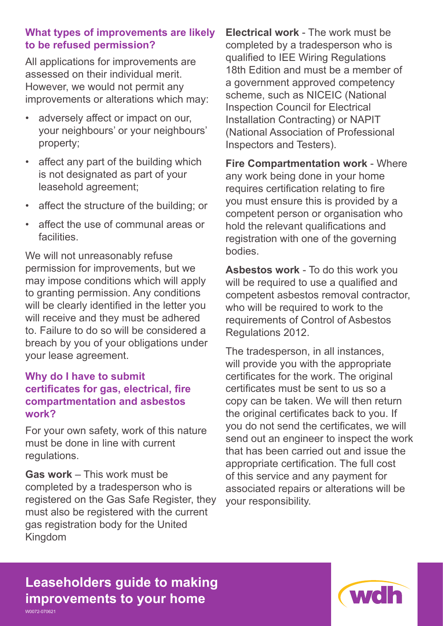## **What types of improvements are likely to be refused permission?**

All applications for improvements are assessed on their individual merit. However, we would not permit any improvements or alterations which may:

- adversely affect or impact on our, your neighbours' or your neighbours' property;
- affect any part of the building which is not designated as part of your leasehold agreement;
- affect the structure of the building; or
- affect the use of communal areas or facilities.

We will not unreasonably refuse permission for improvements, but we may impose conditions which will apply to granting permission. Any conditions will be clearly identified in the letter you will receive and they must be adhered to. Failure to do so will be considered a breach by you of your obligations under your lease agreement.

#### **Why do I have to submit certificates for gas, electrical, fire compartmentation and asbestos work?**

For your own safety, work of this nature must be done in line with current regulations.

**Gas work** – This work must be completed by a tradesperson who is registered on the Gas Safe Register, they must also be registered with the current gas registration body for the United Kingdom

**Electrical work** - The work must be completed by a tradesperson who is qualified to IEE Wiring Regulations 18th Edition and must be a member of a government approved competency scheme, such as NICEIC (National Inspection Council for Electrical Installation Contracting) or NAPIT (National Association of Professional Inspectors and Testers).

**Fire Compartmentation work** - Where any work being done in your home requires certification relating to fire you must ensure this is provided by a competent person or organisation who hold the relevant qualifications and registration with one of the governing bodies.

**Asbestos work** - To do this work you will be required to use a qualified and competent asbestos removal contractor, who will be required to work to the requirements of Control of Asbestos Regulations 2012.

The tradesperson, in all instances, will provide you with the appropriate certificates for the work. The original certificates must be sent to us so a copy can be taken. We will then return the original certificates back to you. If you do not send the certificates, we will send out an engineer to inspect the work that has been carried out and issue the appropriate certification. The full cost of this service and any payment for associated repairs or alterations will be your responsibility.

# **Leaseholders guide to making improvements to your home** W0072-070621

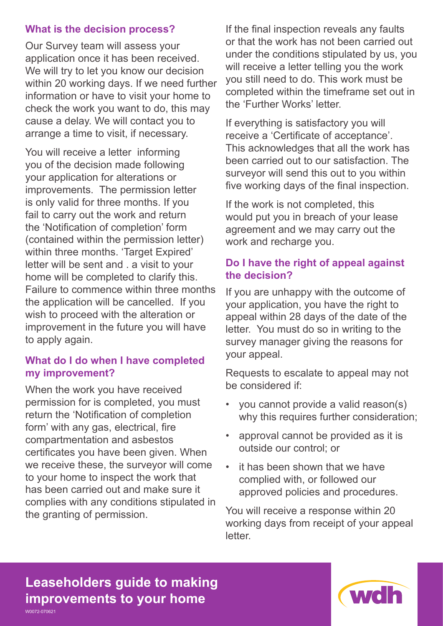## **What is the decision process?**

Our Survey team will assess your application once it has been received. We will try to let you know our decision within 20 working days. If we need further information or have to visit your home to check the work you want to do, this may cause a delay. We will contact you to arrange a time to visit, if necessary.

You will receive a letter informing you of the decision made following your application for alterations or improvements. The permission letter is only valid for three months. If you fail to carry out the work and return the 'Notification of completion' form (contained within the permission letter) within three months. 'Target Expired' letter will be sent and . a visit to your home will be completed to clarify this. Failure to commence within three months the application will be cancelled. If you wish to proceed with the alteration or improvement in the future you will have to apply again.

## **What do I do when I have completed my improvement?**

When the work you have received permission for is completed, you must return the 'Notification of completion form' with any gas, electrical, fire compartmentation and asbestos certificates you have been given. When we receive these, the surveyor will come to your home to inspect the work that has been carried out and make sure it complies with any conditions stipulated in the granting of permission.

If the final inspection reveals any faults or that the work has not been carried out under the conditions stipulated by us, you will receive a letter telling you the work you still need to do. This work must be completed within the timeframe set out in the 'Further Works' letter.

If everything is satisfactory you will receive a 'Certificate of acceptance'. This acknowledges that all the work has been carried out to our satisfaction. The surveyor will send this out to you within five working days of the final inspection.

If the work is not completed, this would put you in breach of your lease agreement and we may carry out the work and recharge you.

## **Do I have the right of appeal against the decision?**

If you are unhappy with the outcome of your application, you have the right to appeal within 28 days of the date of the letter. You must do so in writing to the survey manager giving the reasons for your appeal.

Requests to escalate to appeal may not be considered if:

- you cannot provide a valid reason(s) why this requires further consideration;
- approval cannot be provided as it is outside our control; or
- it has been shown that we have complied with, or followed our approved policies and procedures.

You will receive a response within 20 working days from receipt of your appeal letter.